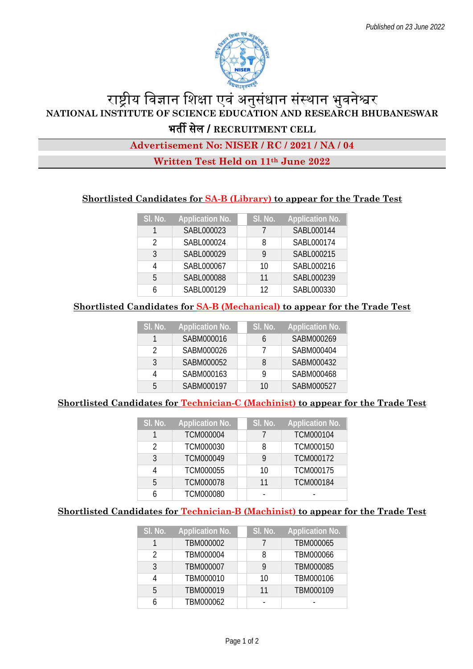

# राष्ट्रीय विज्ञान शिक्षा एवं अनुसंधान संस्थान भुवनेश्वर **NATIONAL INSTITUTE OF SCIENCE EDUCATION AND RESEARCH BHUBANESWAR** भत� सेल / **RECRUITMENT CELL**

## **Advertisement No: NISER / RC / 2021 / NA / 04**

## **Written Test Held on 11th June 2022**

## **Shortlisted Candidates for SA-B (Library) to appear for the Trade Test**

| SI. No. | <b>Application No.</b> | SI. No. | <b>Application No.</b> |
|---------|------------------------|---------|------------------------|
| 1       | SABL000023             |         | SABL000144             |
| ာ       | SABL000024             | 8       | SABL000174             |
| 3       | SABL000029             |         | SABL000215             |
|         | SABL000067             | 10      | SABL000216             |
| 5       | SABL000088             | 11      | SABL000239             |
|         | SABL000129             | 12      | SABL000330             |

#### **Shortlisted Candidates for SA-B (Mechanical) to appear for the Trade Test**

| SI. No. | <b>Application No.</b> | SI. No. | <b>Application No.</b> |
|---------|------------------------|---------|------------------------|
|         | SABM000016             |         | SABM000269             |
| 2       | SABM000026             |         | SABM000404             |
| ર       | SABM000052             | 8       | SABM000432             |
|         | SABM000163             |         | SABM000468             |
| г,      | SABM000197             | 10      | SABM000527             |

#### **Shortlisted Candidates for Technician-C (Machinist) to appear for the Trade Test**

| SI. No. | <b>Application No.</b> | SI. No. | <b>Application No.</b> |
|---------|------------------------|---------|------------------------|
|         | <b>TCM000004</b>       |         | TCM000104              |
| 2       | TCM000030              | 8       | TCM000150              |
| 3       | TCM000049              |         | TCM000172              |
| 4       | TCM000055              | 10      | TCM000175              |
| 5       | TCM000078              | 11      | TCM000184              |
|         | <b>TCM000080</b>       |         |                        |

## **Shortlisted Candidates for Technician-B (Machinist) to appear for the Trade Test**

| SI. No. | <b>Application No.</b> | SI. No. | <b>Application No.</b> |
|---------|------------------------|---------|------------------------|
|         | TBM000002              |         | TBM000065              |
| າ       | TBM000004              | 8       | TBM000066              |
| 3       | TBM000007              | 9       | TBM000085              |
|         | TBM000010              | 10      | TBM000106              |
| 5       | TBM000019              | 11      | TBM000109              |
|         | TBM000062              |         |                        |